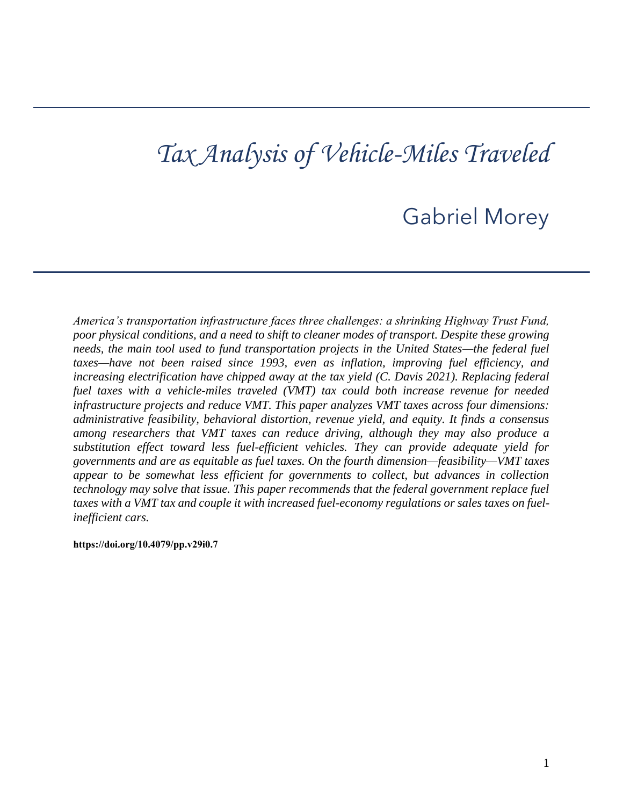# *Tax Analysis of Vehicle-Miles Traveled*

## Gabriel Morey

taxes—have not been raised since 1993, even as inflation, improving fuel efficiency, and  *increasing electrification have chipped away at the tax yield (C. Davis 2021). Replacing federal fuel taxes with a vehicle-miles traveled (VMT) tax could both increase revenue for needed among researchers that VMT taxes can reduce driving, although they may also produce a substitution effect toward less fuel-efficient vehicles. They can provide adequate yield for appear to be somewhat less efficient for governments to collect, but advances in collection technology may solve that issue. This paper recommends that the federal government replace fuel taxes with a VMT tax and couple it with increased fuel-economy regulations or sales taxes on fuel-America's transportation infrastructure faces three challenges: a shrinking Highway Trust Fund, poor physical conditions, and a need to shift to cleaner modes of transport. Despite these growing needs, the main tool used to fund transportation projects in the United States—the federal fuel infrastructure projects and reduce VMT. This paper analyzes VMT taxes across four dimensions: administrative feasibility, behavioral distortion, revenue yield, and equity. It finds a consensus governments and are as equitable as fuel taxes. On the fourth dimension—feasibility—VMT taxes inefficient cars.* 

**[https://doi.org/10.4079/pp.v29i0.7](https://doi.org/10.4079/pp.v28i0.9)**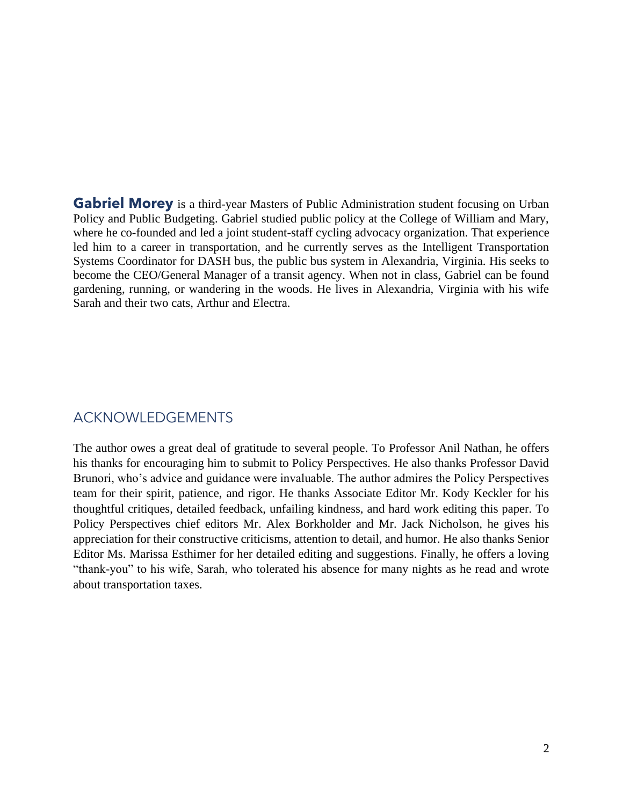Policy and Public Budgeting. Gabriel studied public policy at the College of William and Mary, led him to a career in transportation, and he currently serves as the Intelligent Transportation become the CEO/General Manager of a transit agency. When not in class, Gabriel can be found **Gabriel Morey** is a third-year Masters of Public Administration student focusing on Urban where he co-founded and led a joint student-staff cycling advocacy organization. That experience Systems Coordinator for DASH bus, the public bus system in Alexandria, Virginia. His seeks to gardening, running, or wandering in the woods. He lives in Alexandria, Virginia with his wife Sarah and their two cats, Arthur and Electra.

## ACKNOWLEDGEMENTS

 his thanks for encouraging him to submit to Policy Perspectives. He also thanks Professor David Brunori, who's advice and guidance were invaluable. The author admires the Policy Perspectives team for their spirit, patience, and rigor. He thanks Associate Editor Mr. Kody Keckler for his thoughtful critiques, detailed feedback, unfailing kindness, and hard work editing this paper. To Policy Perspectives chief editors Mr. Alex Borkholder and Mr. Jack Nicholson, he gives his appreciation for their constructive criticisms, attention to detail, and humor. He also thanks Senior Editor Ms. Marissa Esthimer for her detailed editing and suggestions. Finally, he offers a loving "thank-you" to his wife, Sarah, who tolerated his absence for many nights as he read and wrote The author owes a great deal of gratitude to several people. To Professor Anil Nathan, he offers about transportation taxes.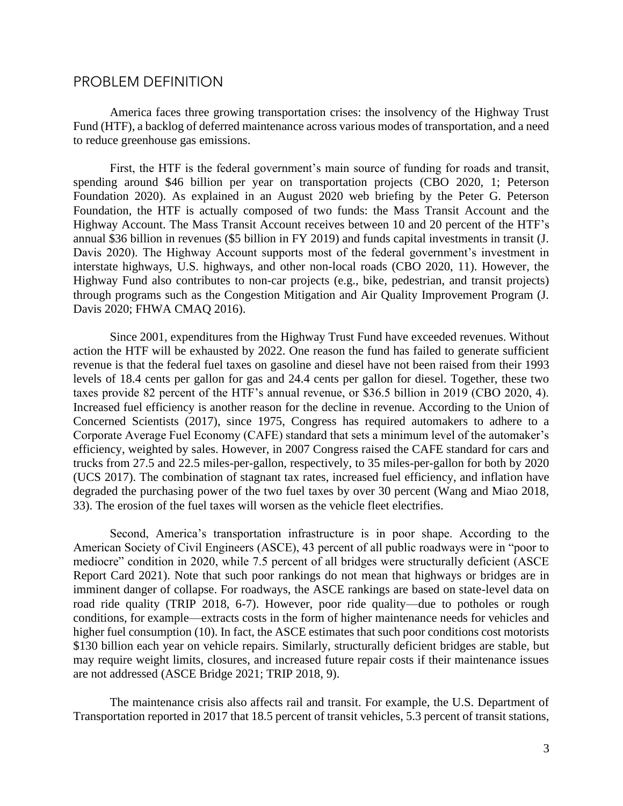## PROBLEM DEFINITION

 America faces three growing transportation crises: the insolvency of the Highway Trust Fund (HTF), a backlog of deferred maintenance across various modes of transportation, and a need to reduce greenhouse gas emissions.

 annual \$36 billion in revenues (\$5 billion in FY 2019) and funds capital investments in transit (J. interstate highways, U.S. highways, and other non-local roads (CBO 2020, 11). However, the Highway Fund also contributes to non-car projects (e.g., bike, pedestrian, and transit projects) First, the HTF is the federal government's main source of funding for roads and transit, spending around \$46 billion per year on transportation projects (CBO 2020, 1; Peterson Foundation 2020). As explained in an August 2020 web briefing by the Peter G. Peterson Foundation, the HTF is actually composed of two funds: the Mass Transit Account and the Highway Account. The Mass Transit Account receives between 10 and 20 percent of the HTF's Davis 2020). The Highway Account supports most of the federal government's investment in through programs such as the Congestion Mitigation and Air Quality Improvement Program (J. Davis 2020; FHWA CMAQ 2016).

 action the HTF will be exhausted by 2022. One reason the fund has failed to generate sufficient taxes provide 82 percent of the HTF's annual revenue, or \$36.5 billion in 2019 (CBO 2020, 4). Increased fuel efficiency is another reason for the decline in revenue. According to the Union of Concerned Scientists (2017), since 1975, Congress has required automakers to adhere to a efficiency, weighted by sales. However, in 2007 Congress raised the CAFE standard for cars and (UCS 2017). The combination of stagnant tax rates, increased fuel efficiency, and inflation have Since 2001, expenditures from the Highway Trust Fund have exceeded revenues. Without revenue is that the federal fuel taxes on gasoline and diesel have not been raised from their 1993 levels of 18.4 cents per gallon for gas and 24.4 cents per gallon for diesel. Together, these two Corporate Average Fuel Economy (CAFE) standard that sets a minimum level of the automaker's trucks from 27.5 and 22.5 miles-per-gallon, respectively, to 35 miles-per-gallon for both by 2020 degraded the purchasing power of the two fuel taxes by over 30 percent (Wang and Miao 2018, 33). The erosion of the fuel taxes will worsen as the vehicle fleet electrifies.

 American Society of Civil Engineers (ASCE), 43 percent of all public roadways were in "poor to mediocre" condition in 2020, while 7.5 percent of all bridges were structurally deficient (ASCE Report Card 2021). Note that such poor rankings do not mean that highways or bridges are in imminent danger of collapse. For roadways, the ASCE rankings are based on state-level data on \$130 billion each year on vehicle repairs. Similarly, structurally deficient bridges are stable, but may require weight limits, closures, and increased future repair costs if their maintenance issues Second, America's transportation infrastructure is in poor shape. According to the road ride quality (TRIP 2018, 6-7). However, poor ride quality—due to potholes or rough conditions, for example—extracts costs in the form of higher maintenance needs for vehicles and higher fuel consumption (10). In fact, the ASCE estimates that such poor conditions cost motorists are not addressed (ASCE Bridge 2021; TRIP 2018, 9).

 Transportation reported in 2017 that 18.5 percent of transit vehicles, 5.3 percent of transit stations, The maintenance crisis also affects rail and transit. For example, the U.S. Department of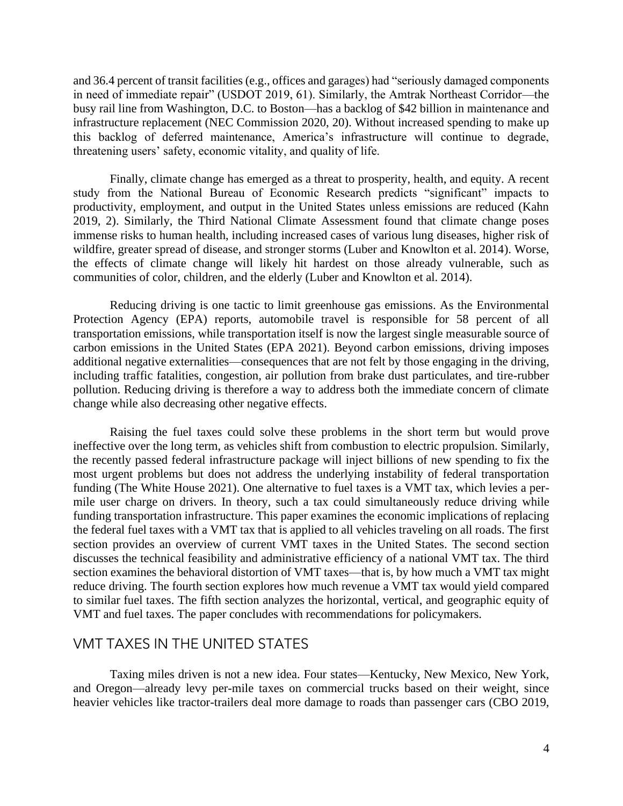busy rail line from Washington, D.C. to Boston—has a backlog of \$42 billion in maintenance and this backlog of deferred maintenance, America's infrastructure will continue to degrade, and 36.4 percent of transit facilities (e.g., offices and garages) had "seriously damaged components in need of immediate repair" (USDOT 2019, 61). Similarly, the Amtrak Northeast Corridor—the infrastructure replacement (NEC Commission 2020, 20). Without increased spending to make up threatening users' safety, economic vitality, and quality of life.

 Finally, climate change has emerged as a threat to prosperity, health, and equity. A recent 2019, 2). Similarly, the Third National Climate Assessment found that climate change poses immense risks to human health, including increased cases of various lung diseases, higher risk of the effects of climate change will likely hit hardest on those already vulnerable, such as study from the National Bureau of Economic Research predicts "significant" impacts to productivity, employment, and output in the United States unless emissions are reduced (Kahn wildfire, greater spread of disease, and stronger storms (Luber and Knowlton et al. 2014). Worse, communities of color, children, and the elderly (Luber and Knowlton et al. 2014).

 Reducing driving is one tactic to limit greenhouse gas emissions. As the Environmental transportation emissions, while transportation itself is now the largest single measurable source of including traffic fatalities, congestion, air pollution from brake dust particulates, and tire-rubber pollution. Reducing driving is therefore a way to address both the immediate concern of climate Protection Agency (EPA) reports, automobile travel is responsible for 58 percent of all carbon emissions in the United States (EPA 2021). Beyond carbon emissions, driving imposes additional negative externalities—consequences that are not felt by those engaging in the driving, change while also decreasing other negative effects.

 ineffective over the long term, as vehicles shift from combustion to electric propulsion. Similarly, the recently passed federal infrastructure package will inject billions of new spending to fix the funding (The White House 2021). One alternative to fuel taxes is a VMT tax, which levies a per- mile user charge on drivers. In theory, such a tax could simultaneously reduce driving while the federal fuel taxes with a VMT tax that is applied to all vehicles traveling on all roads. The first discusses the technical feasibility and administrative efficiency of a national VMT tax. The third Raising the fuel taxes could solve these problems in the short term but would prove most urgent problems but does not address the underlying instability of federal transportation funding transportation infrastructure. This paper examines the economic implications of replacing section provides an overview of current VMT taxes in the United States. The second section section examines the behavioral distortion of VMT taxes—that is, by how much a VMT tax might reduce driving. The fourth section explores how much revenue a VMT tax would yield compared to similar fuel taxes. The fifth section analyzes the horizontal, vertical, and geographic equity of VMT and fuel taxes. The paper concludes with recommendations for policymakers.

## VMT TAXES IN THE UNITED STATES

 Taxing miles driven is not a new idea. Four states—Kentucky, New Mexico, New York, heavier vehicles like tractor-trailers deal more damage to roads than passenger cars (CBO 2019, and Oregon—already levy per-mile taxes on commercial trucks based on their weight, since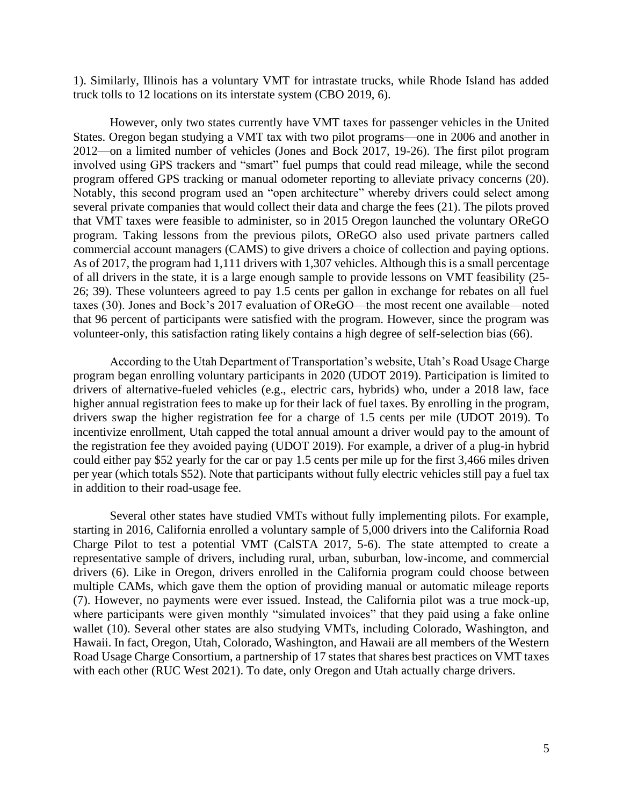1). Similarly, Illinois has a voluntary VMT for intrastate trucks, while Rhode Island has added truck tolls to 12 locations on its interstate system (CBO 2019, 6).

 States. Oregon began studying a VMT tax with two pilot programs—one in 2006 and another in involved using GPS trackers and "smart" fuel pumps that could read mileage, while the second that VMT taxes were feasible to administer, so in 2015 Oregon launched the voluntary OReGO program. Taking lessons from the previous pilots, OReGO also used private partners called commercial account managers (CAMS) to give drivers a choice of collection and paying options. of all drivers in the state, it is a large enough sample to provide lessons on VMT feasibility (25- 26; 39). These volunteers agreed to pay 1.5 cents per gallon in exchange for rebates on all fuel taxes (30). Jones and Bock's 2017 evaluation of OReGO—the most recent one available—noted However, only two states currently have VMT taxes for passenger vehicles in the United 2012—on a limited number of vehicles (Jones and Bock 2017, 19-26). The first pilot program program offered GPS tracking or manual odometer reporting to alleviate privacy concerns (20). Notably, this second program used an "open architecture" whereby drivers could select among several private companies that would collect their data and charge the fees (21). The pilots proved As of 2017, the program had 1,111 drivers with 1,307 vehicles. Although this is a small percentage that 96 percent of participants were satisfied with the program. However, since the program was volunteer-only, this satisfaction rating likely contains a high degree of self-selection bias (66).

 drivers of alternative-fueled vehicles (e.g., electric cars, hybrids) who, under a 2018 law, face higher annual registration fees to make up for their lack of fuel taxes. By enrolling in the program, drivers swap the higher registration fee for a charge of 1.5 cents per mile (UDOT 2019). To incentivize enrollment, Utah capped the total annual amount a driver would pay to the amount of the registration fee they avoided paying (UDOT 2019). For example, a driver of a plug-in hybrid could either pay \$52 yearly for the car or pay 1.5 cents per mile up for the first 3,466 miles driven per year (which totals \$52). Note that participants without fully electric vehicles still pay a fuel tax According to the Utah Department of Transportation's website, Utah's Road Usage Charge program began enrolling voluntary participants in 2020 (UDOT 2019). Participation is limited to in addition to their road-usage fee.

 Several other states have studied VMTs without fully implementing pilots. For example, Charge Pilot to test a potential VMT (CalSTA 2017, 5-6). The state attempted to create a drivers (6). Like in Oregon, drivers enrolled in the California program could choose between multiple CAMs, which gave them the option of providing manual or automatic mileage reports (7). However, no payments were ever issued. Instead, the California pilot was a true mock-up, where participants were given monthly "simulated invoices" that they paid using a fake online Hawaii. In fact, Oregon, Utah, Colorado, Washington, and Hawaii are all members of the Western Road Usage Charge Consortium, a partnership of 17 states that shares best practices on VMT taxes starting in 2016, California enrolled a voluntary sample of 5,000 drivers into the California Road representative sample of drivers, including rural, urban, suburban, low-income, and commercial wallet (10). Several other states are also studying VMTs, including Colorado, Washington, and with each other (RUC West 2021). To date, only Oregon and Utah actually charge drivers.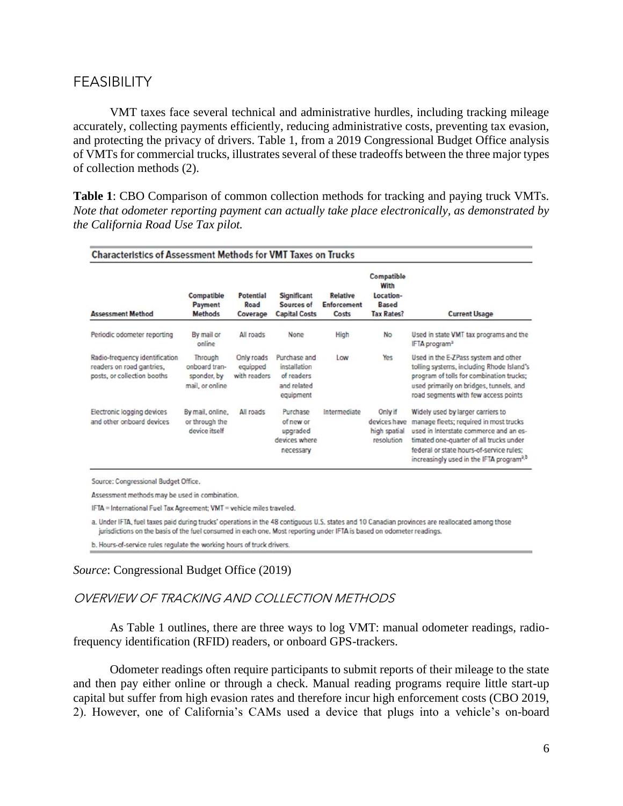## FEASIBILITY

 VMT taxes face several technical and administrative hurdles, including tracking mileage and protecting the privacy of drivers. Table 1, from a 2019 Congressional Budget Office analysis accurately, collecting payments efficiently, reducing administrative costs, preventing tax evasion, of VMTs for commercial trucks, illustrates several of these tradeoffs between the three major types of collection methods (2).

 **Table 1**: CBO Comparison of common collection methods for tracking and paying truck VMTs.  *Note that odometer reporting payment can actually take place electronically, as demonstrated by the California Road Use Tax pilot.* 

| <b>Characteristics of Assessment Methods for VMT Taxes on Trucks</b>                       |                                                            |                                        |                                                                        |                                                |                                                                      |                                                                                                                                                                                                                                                                      |
|--------------------------------------------------------------------------------------------|------------------------------------------------------------|----------------------------------------|------------------------------------------------------------------------|------------------------------------------------|----------------------------------------------------------------------|----------------------------------------------------------------------------------------------------------------------------------------------------------------------------------------------------------------------------------------------------------------------|
| <b>Assessment Method</b>                                                                   | Compatible<br>Payment<br><b>Methods</b>                    | Potential<br>Road<br>Coverage          | Significant<br>Sources of<br><b>Capital Costs</b>                      | <b>Relative</b><br><b>Enforcement</b><br>Costs | Compatible<br>With<br>Location-<br><b>Based</b><br><b>Tax Rates?</b> | <b>Current Usage</b>                                                                                                                                                                                                                                                 |
| Periodic odometer reporting                                                                | By mail or<br>online                                       | All roads                              | None                                                                   | High                                           | No.                                                                  | Used in state VMT tax programs and the<br>IFTA program <sup>2</sup>                                                                                                                                                                                                  |
| Radio-frequency identification<br>readers on road gantries.<br>posts, or collection booths | Through<br>onboard tran-<br>sponder, by<br>mail, or online | Only roads<br>equipped<br>with readers | Purchase and<br>installation<br>of readers<br>and related<br>equipment | Low                                            | Yes                                                                  | Used in the E-ZPass system and other<br>tolling systems, including Rhode Island's<br>program of tolls for combination trucks;<br>used primarily on bridges, tunnels, and<br>road segments with few access points                                                     |
| Electronic logging devices<br>and other onboard devices                                    | By mail, online,<br>or through the<br>device itself        | All roads                              | Purchase<br>of new or<br>upgraded<br>devices where<br>necessary        | Intermediate                                   | Only if<br>devices have<br>high spatial<br>resolution                | Widely used by larger carriers to<br>manage fleets; required in most trucks<br>used in Interstate commerce and an es-<br>timated one-quarter of all trucks under<br>federal or state hours-of-service rules:<br>increasingly used in the IFTA program <sup>3,b</sup> |

Source: Congressional Budget Office.

Assessment methods may be used in combination.

IFTA = International Fuel Tax Agreement; VMT = vehicle miles traveled.

a. Under IFTA, fuel taxes paid during trucks' operations in the 48 contiguous U.S. states and 10 Canadian provinces are reallocated among those jurisdictions on the basis of the fuel consumed in each one. Most reporting under IFTA is based on odometer readings.

b. Hours-of-service rules regulate the working hours of truck drivers.

#### *Source*: Congressional Budget Office (2019)

#### OVERVIEW OF TRACKING AND COLLECTION METHODS

 As Table 1 outlines, there are three ways to log VMT: manual odometer readings, radiofrequency identification (RFID) readers, or onboard GPS-trackers.

 Odometer readings often require participants to submit reports of their mileage to the state and then pay either online or through a check. Manual reading programs require little start-up 2). However, one of California's CAMs used a device that plugs into a vehicle's on-board capital but suffer from high evasion rates and therefore incur high enforcement costs (CBO 2019,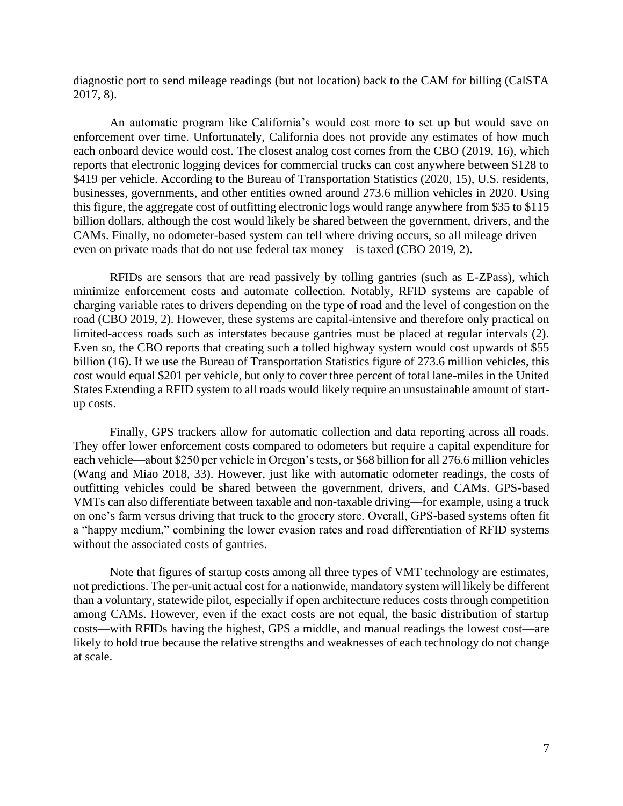diagnostic port to send mileage readings (but not location) back to the CAM for billing (CalSTA 2017, 8).

 An automatic program like California's would cost more to set up but would save on businesses, governments, and other entities owned around 273.6 million vehicles in 2020. Using this figure, the aggregate cost of outfitting electronic logs would range anywhere from \$35 to \$115 CAMs. Finally, no odometer-based system can tell where driving occurs, so all mileage driven enforcement over time. Unfortunately, California does not provide any estimates of how much each onboard device would cost. The closest analog cost comes from the CBO (2019, 16), which reports that electronic logging devices for commercial trucks can cost anywhere between \$128 to \$419 per vehicle. According to the Bureau of Transportation Statistics (2020, 15), U.S. residents, billion dollars, although the cost would likely be shared between the government, drivers, and the even on private roads that do not use federal tax money—is taxed (CBO 2019, 2).

 RFIDs are sensors that are read passively by tolling gantries (such as E-ZPass), which limited-access roads such as interstates because gantries must be placed at regular intervals (2). billion (16). If we use the Bureau of Transportation Statistics figure of 273.6 million vehicles, this cost would equal \$201 per vehicle, but only to cover three percent of total lane-miles in the United States Extending a RFID system to all roads would likely require an unsustainable amount of startminimize enforcement costs and automate collection. Notably, RFID systems are capable of charging variable rates to drivers depending on the type of road and the level of congestion on the road (CBO 2019, 2). However, these systems are capital-intensive and therefore only practical on Even so, the CBO reports that creating such a tolled highway system would cost upwards of \$55 up costs.

 Finally, GPS trackers allow for automatic collection and data reporting across all roads. They offer lower enforcement costs compared to odometers but require a capital expenditure for each vehicle—about \$250 per vehicle in Oregon's tests, or \$68 billion for all 276.6 million vehicles (Wang and Miao 2018, 33). However, just like with automatic odometer readings, the costs of VMTs can also differentiate between taxable and non-taxable driving—for example, using a truck outfitting vehicles could be shared between the government, drivers, and CAMs. GPS-based on one's farm versus driving that truck to the grocery store. Overall, GPS-based systems often fit a "happy medium," combining the lower evasion rates and road differentiation of RFID systems without the associated costs of gantries.

 Note that figures of startup costs among all three types of VMT technology are estimates, not predictions. The per-unit actual cost for a nationwide, mandatory system will likely be different among CAMs. However, even if the exact costs are not equal, the basic distribution of startup costs—with RFIDs having the highest, GPS a middle, and manual readings the lowest cost—are likely to hold true because the relative strengths and weaknesses of each technology do not change than a voluntary, statewide pilot, especially if open architecture reduces costs through competition at scale.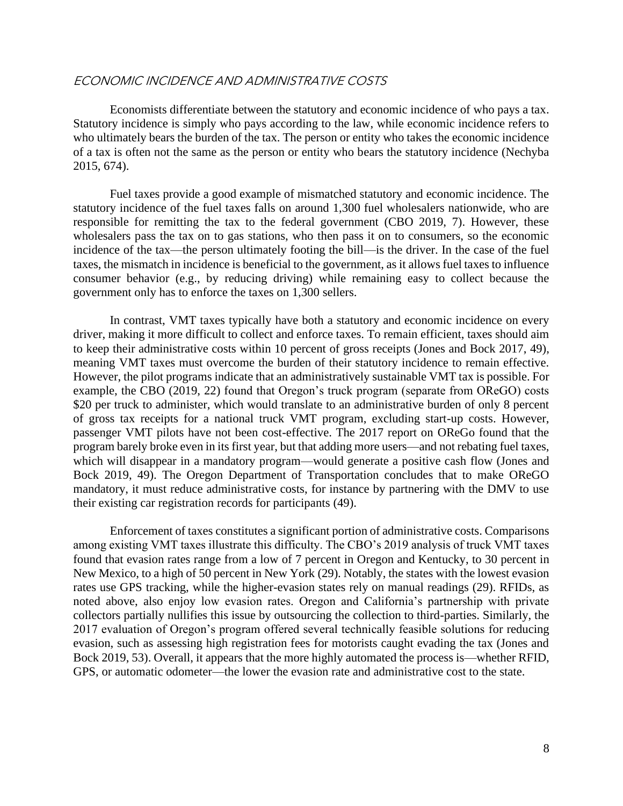#### ECONOMIC INCIDENCE AND ADMINISTRATIVE COSTS

 Economists differentiate between the statutory and economic incidence of who pays a tax. Statutory incidence is simply who pays according to the law, while economic incidence refers to who ultimately bears the burden of the tax. The person or entity who takes the economic incidence of a tax is often not the same as the person or entity who bears the statutory incidence (Nechyba 2015, 674).

 Fuel taxes provide a good example of mismatched statutory and economic incidence. The statutory incidence of the fuel taxes falls on around 1,300 fuel wholesalers nationwide, who are wholesalers pass the tax on to gas stations, who then pass it on to consumers, so the economic incidence of the tax—the person ultimately footing the bill—is the driver. In the case of the fuel responsible for remitting the tax to the federal government (CBO 2019, 7). However, these taxes, the mismatch in incidence is beneficial to the government, as it allows fuel taxes to influence consumer behavior (e.g., by reducing driving) while remaining easy to collect because the government only has to enforce the taxes on 1,300 sellers.

 In contrast, VMT taxes typically have both a statutory and economic incidence on every driver, making it more difficult to collect and enforce taxes. To remain efficient, taxes should aim to keep their administrative costs within 10 percent of gross receipts (Jones and Bock 2017, 49), of gross tax receipts for a national truck VMT program, excluding start-up costs. However, passenger VMT pilots have not been cost-effective. The 2017 report on OReGo found that the which will disappear in a mandatory program—would generate a positive cash flow (Jones and Bock 2019, 49). The Oregon Department of Transportation concludes that to make OReGO mandatory, it must reduce administrative costs, for instance by partnering with the DMV to use meaning VMT taxes must overcome the burden of their statutory incidence to remain effective. However, the pilot programs indicate that an administratively sustainable VMT tax is possible. For example, the CBO (2019, 22) found that Oregon's truck program (separate from OReGO) costs \$20 per truck to administer, which would translate to an administrative burden of only 8 percent program barely broke even in its first year, but that adding more users—and not rebating fuel taxes, their existing car registration records for participants (49).

 found that evasion rates range from a low of 7 percent in Oregon and Kentucky, to 30 percent in New Mexico, to a high of 50 percent in New York (29). Notably, the states with the lowest evasion rates use GPS tracking, while the higher-evasion states rely on manual readings (29). RFIDs, as Enforcement of taxes constitutes a significant portion of administrative costs. Comparisons among existing VMT taxes illustrate this difficulty. The CBO's 2019 analysis of truck VMT taxes noted above, also enjoy low evasion rates. Oregon and California's partnership with private collectors partially nullifies this issue by outsourcing the collection to third-parties. Similarly, the 2017 evaluation of Oregon's program offered several technically feasible solutions for reducing evasion, such as assessing high registration fees for motorists caught evading the tax (Jones and Bock 2019, 53). Overall, it appears that the more highly automated the process is—whether RFID, GPS, or automatic odometer—the lower the evasion rate and administrative cost to the state.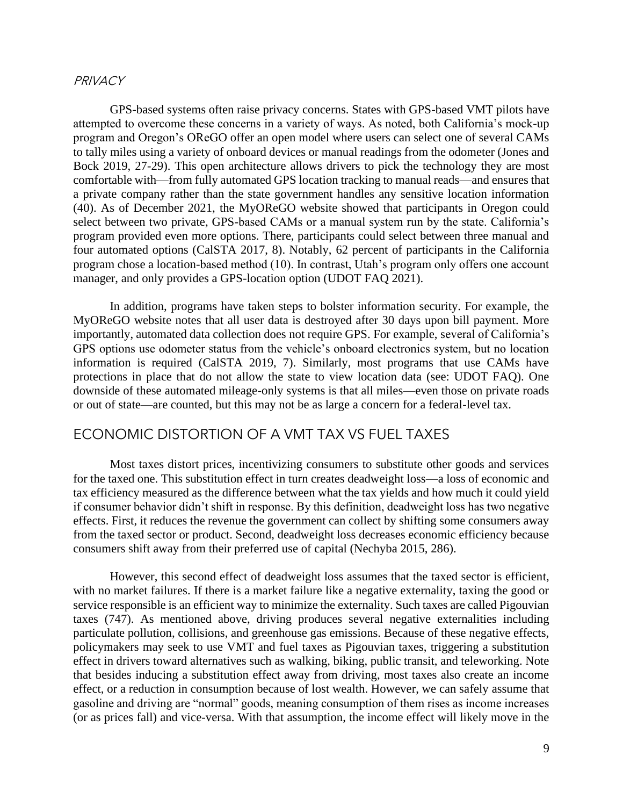#### **PRIVACY**

 to tally miles using a variety of onboard devices or manual readings from the odometer (Jones and program provided even more options. There, participants could select between three manual and four automated options (CalSTA 2017, 8). Notably, 62 percent of participants in the California program chose a location-based method (10). In contrast, Utah's program only offers one account GPS-based systems often raise privacy concerns. States with GPS-based VMT pilots have attempted to overcome these concerns in a variety of ways. As noted, both California's mock-up program and Oregon's OReGO offer an open model where users can select one of several CAMs Bock 2019, 27-29). This open architecture allows drivers to pick the technology they are most comfortable with—from fully automated GPS location tracking to manual reads—and ensures that a private company rather than the state government handles any sensitive location information (40). As of December 2021, the MyOReGO website showed that participants in Oregon could select between two private, GPS-based CAMs or a manual system run by the state. California's manager, and only provides a GPS-location option (UDOT FAQ 2021).

 importantly, automated data collection does not require GPS. For example, several of California's GPS options use odometer status from the vehicle's onboard electronics system, but no location information is required (CalSTA 2019, 7). Similarly, most programs that use CAMs have protections in place that do not allow the state to view location data (see: UDOT FAQ). One In addition, programs have taken steps to bolster information security. For example, the MyOReGO website notes that all user data is destroyed after 30 days upon bill payment. More downside of these automated mileage-only systems is that all miles—even those on private roads or out of state—are counted, but this may not be as large a concern for a federal-level tax.

## ECONOMIC DISTORTION OF A VMT TAX VS FUEL TAXES

 for the taxed one. This substitution effect in turn creates deadweight loss—a loss of economic and tax efficiency measured as the difference between what the tax yields and how much it could yield if consumer behavior didn't shift in response. By this definition, deadweight loss has two negative effects. First, it reduces the revenue the government can collect by shifting some consumers away from the taxed sector or product. Second, deadweight loss decreases economic efficiency because Most taxes distort prices, incentivizing consumers to substitute other goods and services consumers shift away from their preferred use of capital (Nechyba 2015, 286).

 However, this second effect of deadweight loss assumes that the taxed sector is efficient, with no market failures. If there is a market failure like a negative externality, taxing the good or service responsible is an efficient way to minimize the externality. Such taxes are called Pigouvian policymakers may seek to use VMT and fuel taxes as Pigouvian taxes, triggering a substitution effect in drivers toward alternatives such as walking, biking, public transit, and teleworking. Note that besides inducing a substitution effect away from driving, most taxes also create an income (or as prices fall) and vice-versa. With that assumption, the income effect will likely move in the taxes (747). As mentioned above, driving produces several negative externalities including particulate pollution, collisions, and greenhouse gas emissions. Because of these negative effects, effect, or a reduction in consumption because of lost wealth. However, we can safely assume that gasoline and driving are "normal" goods, meaning consumption of them rises as income increases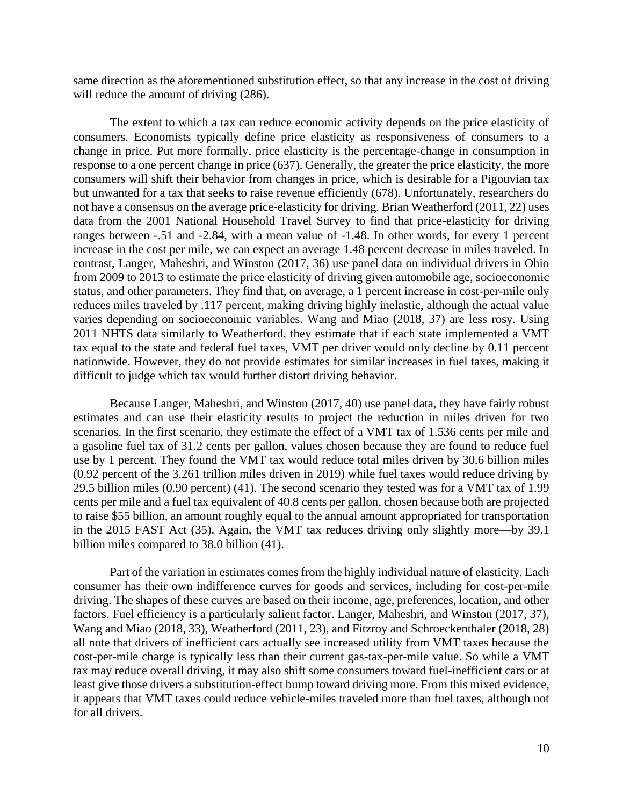same direction as the aforementioned substitution effect, so that any increase in the cost of driving will reduce the amount of driving  $(286)$ .

 The extent to which a tax can reduce economic activity depends on the price elasticity of consumers. Economists typically define price elasticity as responsiveness of consumers to a response to a one percent change in price (637). Generally, the greater the price elasticity, the more consumers will shift their behavior from changes in price, which is desirable for a Pigouvian tax but unwanted for a tax that seeks to raise revenue efficiently (678). Unfortunately, researchers do not have a consensus on the average price-elasticity for driving. Brian Weatherford (2011, 22) uses ranges between -.51 and -2.84, with a mean value of -1.48. In other words, for every 1 percent contrast, Langer, Maheshri, and Winston (2017, 36) use panel data on individual drivers in Ohio from 2009 to 2013 to estimate the price elasticity of driving given automobile age, socioeconomic status, and other parameters. They find that, on average, a 1 percent increase in cost-per-mile only 2011 NHTS data similarly to Weatherford, they estimate that if each state implemented a VMT tax equal to the state and federal fuel taxes, VMT per driver would only decline by 0.11 percent change in price. Put more formally, price elasticity is the percentage-change in consumption in data from the 2001 National Household Travel Survey to find that price-elasticity for driving increase in the cost per mile, we can expect an average 1.48 percent decrease in miles traveled. In reduces miles traveled by .117 percent, making driving highly inelastic, although the actual value varies depending on socioeconomic variables. Wang and Miao (2018, 37) are less rosy. Using nationwide. However, they do not provide estimates for similar increases in fuel taxes, making it difficult to judge which tax would further distort driving behavior.

 Because Langer, Maheshri, and Winston (2017, 40) use panel data, they have fairly robust a gasoline fuel tax of 31.2 cents per gallon, values chosen because they are found to reduce fuel (0.92 percent of the 3.261 trillion miles driven in 2019) while fuel taxes would reduce driving by cents per mile and a fuel tax equivalent of 40.8 cents per gallon, chosen because both are projected to raise \$55 billion, an amount roughly equal to the annual amount appropriated for transportation in the 2015 FAST Act (35). Again, the VMT tax reduces driving only slightly more—by 39.1 estimates and can use their elasticity results to project the reduction in miles driven for two scenarios. In the first scenario, they estimate the effect of a VMT tax of 1.536 cents per mile and use by 1 percent. They found the VMT tax would reduce total miles driven by 30.6 billion miles 29.5 billion miles (0.90 percent) (41). The second scenario they tested was for a VMT tax of 1.99 billion miles compared to 38.0 billion (41).

 consumer has their own indifference curves for goods and services, including for cost-per-mile driving. The shapes of these curves are based on their income, age, preferences, location, and other Wang and Miao (2018, 33), Weatherford (2011, 23), and Fitzroy and Schroeckenthaler (2018, 28) all note that drivers of inefficient cars actually see increased utility from VMT taxes because the cost-per-mile charge is typically less than their current gas-tax-per-mile value. So while a VMT tax may reduce overall driving, it may also shift some consumers toward fuel-inefficient cars or at it appears that VMT taxes could reduce vehicle-miles traveled more than fuel taxes, although not Part of the variation in estimates comes from the highly individual nature of elasticity. Each factors. Fuel efficiency is a particularly salient factor. Langer, Maheshri, and Winston (2017, 37), least give those drivers a substitution-effect bump toward driving more. From this mixed evidence, for all drivers.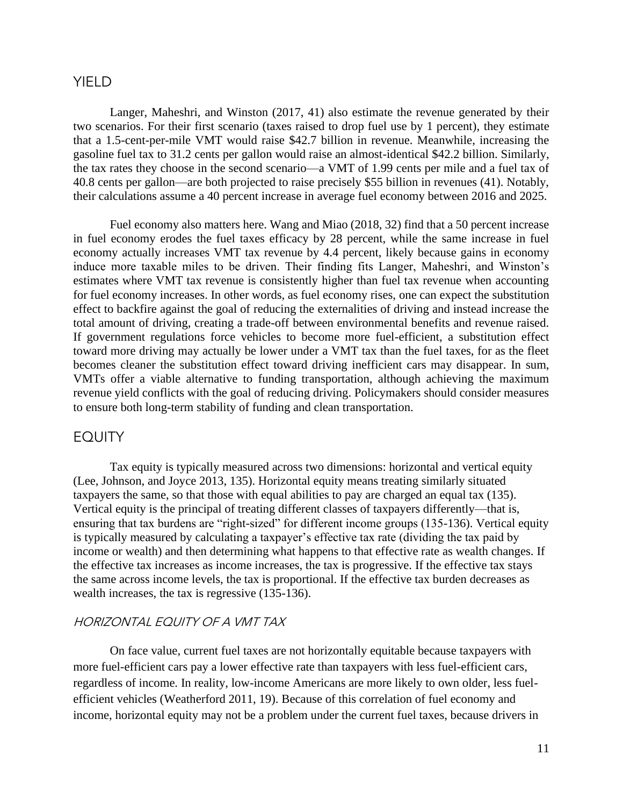## YIELD

 Langer, Maheshri, and Winston (2017, 41) also estimate the revenue generated by their that a 1.5-cent-per-mile VMT would raise \$42.7 billion in revenue. Meanwhile, increasing the gasoline fuel tax to 31.2 cents per gallon would raise an almost-identical \$42.2 billion. Similarly, the tax rates they choose in the second scenario—a VMT of 1.99 cents per mile and a fuel tax of two scenarios. For their first scenario (taxes raised to drop fuel use by 1 percent), they estimate 40.8 cents per gallon—are both projected to raise precisely \$55 billion in revenues (41). Notably, their calculations assume a 40 percent increase in average fuel economy between 2016 and 2025.

 economy actually increases VMT tax revenue by 4.4 percent, likely because gains in economy induce more taxable miles to be driven. Their finding fits Langer, Maheshri, and Winston's estimates where VMT tax revenue is consistently higher than fuel tax revenue when accounting for fuel economy increases. In other words, as fuel economy rises, one can expect the substitution effect to backfire against the goal of reducing the externalities of driving and instead increase the total amount of driving, creating a trade-off between environmental benefits and revenue raised. If government regulations force vehicles to become more fuel-efficient, a substitution effect VMTs offer a viable alternative to funding transportation, although achieving the maximum Fuel economy also matters here. Wang and Miao (2018, 32) find that a 50 percent increase in fuel economy erodes the fuel taxes efficacy by 28 percent, while the same increase in fuel toward more driving may actually be lower under a VMT tax than the fuel taxes, for as the fleet becomes cleaner the substitution effect toward driving inefficient cars may disappear. In sum, revenue yield conflicts with the goal of reducing driving. Policymakers should consider measures to ensure both long-term stability of funding and clean transportation.

## **EQUITY**

Tax equity is typically measured across two dimensions: horizontal and vertical equity (Lee, Johnson, and Joyce 2013, 135). Horizontal equity means treating similarly situated taxpayers the same, so that those with equal abilities to pay are charged an equal tax (135). Vertical equity is the principal of treating different classes of taxpayers differently—that is, ensuring that tax burdens are "right-sized" for different income groups (135-136). Vertical equity is typically measured by calculating a taxpayer's effective tax rate (dividing the tax paid by income or wealth) and then determining what happens to that effective rate as wealth changes. If the effective tax increases as income increases, the tax is progressive. If the effective tax stays the same across income levels, the tax is proportional. If the effective tax burden decreases as wealth increases, the tax is regressive (135-136).

## HORIZONTAL EQUITY OF A VMT TAX

On face value, current fuel taxes are not horizontally equitable because taxpayers with more fuel-efficient cars pay a lower effective rate than taxpayers with less fuel-efficient cars, regardless of income. In reality, low-income Americans are more likely to own older, less fuelefficient vehicles (Weatherford 2011, 19). Because of this correlation of fuel economy and income, horizontal equity may not be a problem under the current fuel taxes, because drivers in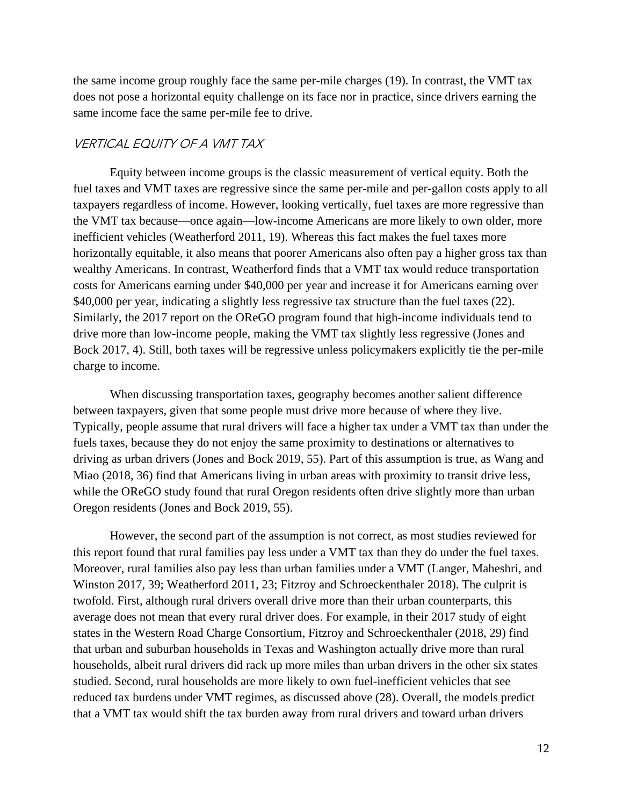the same income group roughly face the same per-mile charges (19). In contrast, the VMT tax does not pose a horizontal equity challenge on its face nor in practice, since drivers earning the same income face the same per-mile fee to drive.

#### VERTICAL EQUITY OF A VMT TAX

Equity between income groups is the classic measurement of vertical equity. Both the fuel taxes and VMT taxes are regressive since the same per-mile and per-gallon costs apply to all taxpayers regardless of income. However, looking vertically, fuel taxes are more regressive than the VMT tax because—once again—low-income Americans are more likely to own older, more inefficient vehicles (Weatherford 2011, 19). Whereas this fact makes the fuel taxes more horizontally equitable, it also means that poorer Americans also often pay a higher gross tax than wealthy Americans. In contrast, Weatherford finds that a VMT tax would reduce transportation costs for Americans earning under \$40,000 per year and increase it for Americans earning over \$40,000 per year, indicating a slightly less regressive tax structure than the fuel taxes (22). Similarly, the 2017 report on the OReGO program found that high-income individuals tend to drive more than low-income people, making the VMT tax slightly less regressive (Jones and Bock 2017, 4). Still, both taxes will be regressive unless policymakers explicitly tie the per-mile charge to income.

When discussing transportation taxes, geography becomes another salient difference between taxpayers, given that some people must drive more because of where they live. Typically, people assume that rural drivers will face a higher tax under a VMT tax than under the fuels taxes, because they do not enjoy the same proximity to destinations or alternatives to driving as urban drivers (Jones and Bock 2019, 55). Part of this assumption is true, as Wang and Miao (2018, 36) find that Americans living in urban areas with proximity to transit drive less, while the OReGO study found that rural Oregon residents often drive slightly more than urban Oregon residents (Jones and Bock 2019, 55).

However, the second part of the assumption is not correct, as most studies reviewed for this report found that rural families pay less under a VMT tax than they do under the fuel taxes. Moreover, rural families also pay less than urban families under a VMT (Langer, Maheshri, and Winston 2017, 39; Weatherford 2011, 23; Fitzroy and Schroeckenthaler 2018). The culprit is twofold. First, although rural drivers overall drive more than their urban counterparts, this average does not mean that every rural driver does. For example, in their 2017 study of eight states in the Western Road Charge Consortium, Fitzroy and Schroeckenthaler (2018, 29) find that urban and suburban households in Texas and Washington actually drive more than rural households, albeit rural drivers did rack up more miles than urban drivers in the other six states studied. Second, rural households are more likely to own fuel-inefficient vehicles that see reduced tax burdens under VMT regimes, as discussed above (28). Overall, the models predict that a VMT tax would shift the tax burden away from rural drivers and toward urban drivers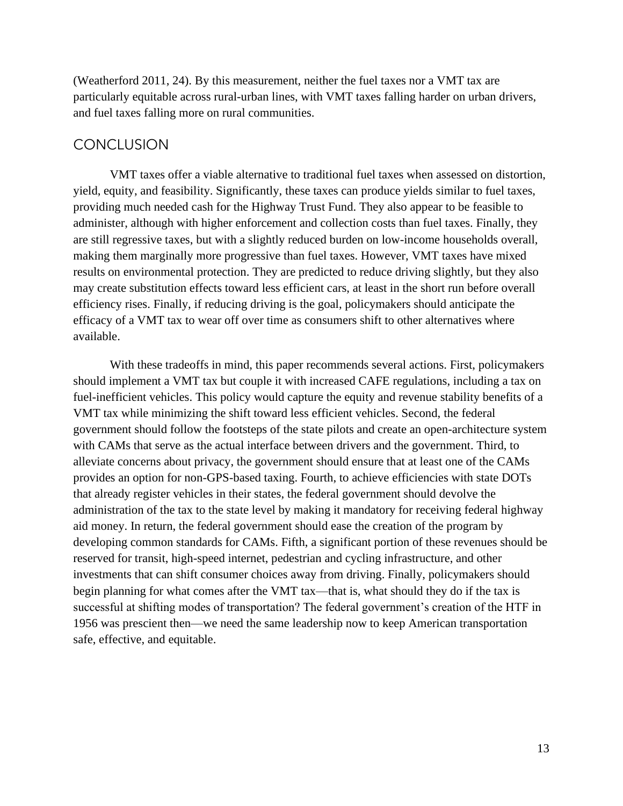(Weatherford 2011, 24). By this measurement, neither the fuel taxes nor a VMT tax are particularly equitable across rural-urban lines, with VMT taxes falling harder on urban drivers, and fuel taxes falling more on rural communities.

## **CONCLUSION**

VMT taxes offer a viable alternative to traditional fuel taxes when assessed on distortion, yield, equity, and feasibility. Significantly, these taxes can produce yields similar to fuel taxes, providing much needed cash for the Highway Trust Fund. They also appear to be feasible to administer, although with higher enforcement and collection costs than fuel taxes. Finally, they are still regressive taxes, but with a slightly reduced burden on low-income households overall, making them marginally more progressive than fuel taxes. However, VMT taxes have mixed results on environmental protection. They are predicted to reduce driving slightly, but they also may create substitution effects toward less efficient cars, at least in the short run before overall efficiency rises. Finally, if reducing driving is the goal, policymakers should anticipate the efficacy of a VMT tax to wear off over time as consumers shift to other alternatives where available.

With these tradeoffs in mind, this paper recommends several actions. First, policymakers should implement a VMT tax but couple it with increased CAFE regulations, including a tax on fuel-inefficient vehicles. This policy would capture the equity and revenue stability benefits of a VMT tax while minimizing the shift toward less efficient vehicles. Second, the federal government should follow the footsteps of the state pilots and create an open-architecture system with CAMs that serve as the actual interface between drivers and the government. Third, to alleviate concerns about privacy, the government should ensure that at least one of the CAMs provides an option for non-GPS-based taxing. Fourth, to achieve efficiencies with state DOTs that already register vehicles in their states, the federal government should devolve the administration of the tax to the state level by making it mandatory for receiving federal highway aid money. In return, the federal government should ease the creation of the program by developing common standards for CAMs. Fifth, a significant portion of these revenues should be reserved for transit, high-speed internet, pedestrian and cycling infrastructure, and other investments that can shift consumer choices away from driving. Finally, policymakers should begin planning for what comes after the VMT tax—that is, what should they do if the tax is successful at shifting modes of transportation? The federal government's creation of the HTF in 1956 was prescient then—we need the same leadership now to keep American transportation safe, effective, and equitable.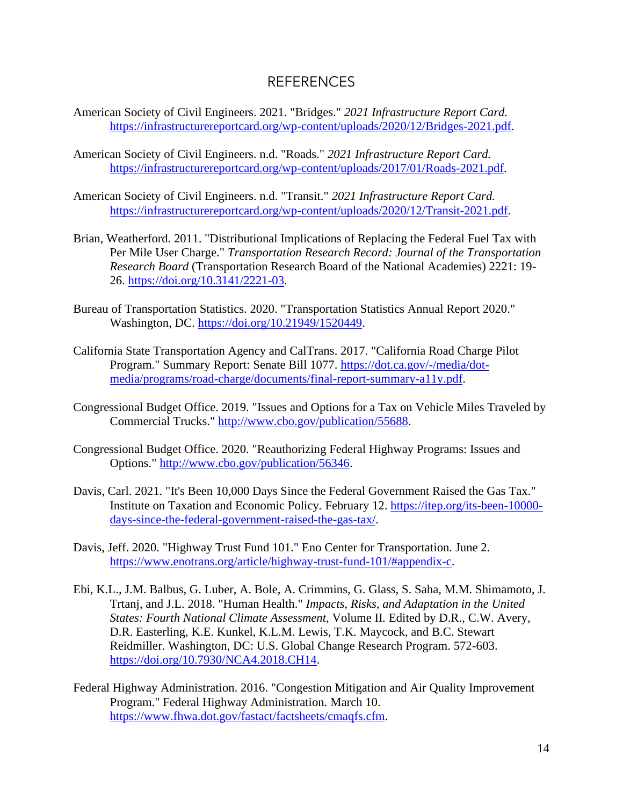## REFERENCES

- American Society of Civil Engineers. 2021. "Bridges." *2021 Infrastructure Report Card.*  [https://infrastructurereportcard.org/wp-content/uploads/2020/12/Bridges-2021.pdf.](https://infrastructurereportcard.org/wp-content/uploads/2020/12/Bridges-2021.pdf)
- American Society of Civil Engineers. n.d. "Roads." *2021 Infrastructure Report Card.*  [https://infrastructurereportcard.org/wp-content/uploads/2017/01/Roads-2021.pdf.](https://infrastructurereportcard.org/wp-content/uploads/2017/01/Roads-2021.pdf)
- American Society of Civil Engineers. n.d. "Transit." *2021 Infrastructure Report Card.*  [https://infrastructurereportcard.org/wp-content/uploads/2020/12/Transit-2021.pdf.](https://infrastructurereportcard.org/wp-content/uploads/2020/12/Transit-2021.pdf)
- Brian, Weatherford. 2011. "Distributional Implications of Replacing the Federal Fuel Tax with Per Mile User Charge." *Transportation Research Record: Journal of the Transportation Research Board* (Transportation Research Board of the National Academies) 2221: 19- 26. [https://doi.org/10.3141/2221-03.](https://doi.org/10.3141/2221-03)
- Bureau of Transportation Statistics. 2020. "Transportation Statistics Annual Report 2020." Washington, DC. [https://doi.org/10.21949/1520449.](https://doi.org/10.21949/1520449)
- California State Transportation Agency and CalTrans. 2017. "California Road Charge Pilot Program." Summary Report: Senate Bill 1077. [https://dot.ca.gov/-/media/dot](https://dot.ca.gov/-/media/dot-media/programs/road-charge/documents/final-report-summary-a11y.pdf)[media/programs/road-charge/documents/final-report-summary-a11y.pdf.](https://dot.ca.gov/-/media/dot-media/programs/road-charge/documents/final-report-summary-a11y.pdf)
- Congressional Budget Office. 2019. "Issues and Options for a Tax on Vehicle Miles Traveled by Commercial Trucks." [http://www.cbo.gov/publication/55688.](http://www.cbo.gov/publication/55688)
- Congressional Budget Office. 2020. "Reauthorizing Federal Highway Programs: Issues and Options." [http://www.cbo.gov/publication/56346.](http://www.cbo.gov/publication/56346)
- Davis, Carl. 2021. "It's Been 10,000 Days Since the Federal Government Raised the Gas Tax." Institute on Taxation and Economic Policy*.* February 12. [https://itep.org/its-been-10000](https://itep.org/its-been-10000-days-since-the-federal-government-raised-the-gas-tax/) [days-since-the-federal-government-raised-the-gas-tax/.](https://itep.org/its-been-10000-days-since-the-federal-government-raised-the-gas-tax/)
- Davis, Jeff. 2020. "Highway Trust Fund 101." Eno Center for Transportation*.* June 2. [https://www.enotrans.org/article/highway-trust-fund-101/#appendix-c.](https://www.enotrans.org/article/highway-trust-fund-101/#appendix-c)
- Ebi, K.L., J.M. Balbus, G. Luber, A. Bole, A. Crimmins, G. Glass, S. Saha, M.M. Shimamoto, J. Trtanj, and J.L. 2018. "Human Health." *Impacts, Risks, and Adaptation in the United States: Fourth National Climate Assessment,* Volume II*.* Edited by D.R., C.W. Avery, D.R. Easterling, K.E. Kunkel, K.L.M. Lewis, T.K. Maycock, and B.C. Stewart Reidmiller. Washington, DC: U.S. Global Change Research Program. 572-603. [https://doi.org/10.7930/NCA4.2018.CH14.](https://doi.org/10.7930/NCA4.2018.CH14)
- Federal Highway Administration. 2016. "Congestion Mitigation and Air Quality Improvement Program." Federal Highway Administration*.* March 10. [https://www.fhwa.dot.gov/fastact/factsheets/cmaqfs.cfm.](https://www.fhwa.dot.gov/fastact/factsheets/cmaqfs.cfm)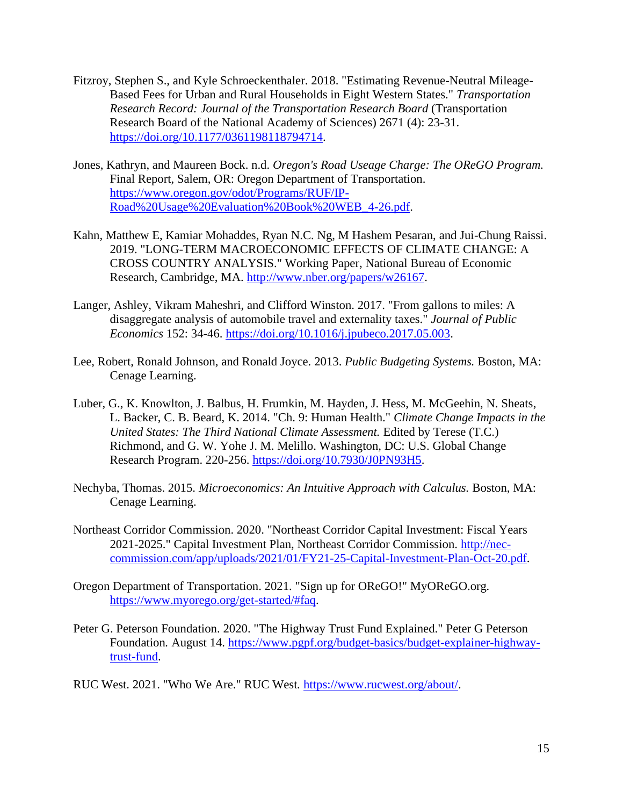- Fitzroy, Stephen S., and Kyle Schroeckenthaler. 2018. "Estimating Revenue-Neutral Mileage-Based Fees for Urban and Rural Households in Eight Western States." *Transportation Research Record: Journal of the Transportation Research Board* (Transportation Research Board of the National Academy of Sciences) 2671 (4): 23-31. [https://doi.org/10.1177/0361198118794714.](https://doi.org/10.1177/0361198118794714)
- Jones, Kathryn, and Maureen Bock. n.d. *Oregon's Road Useage Charge: The OReGO Program.*  Final Report, Salem, OR: Oregon Department of Transportation. [https://www.oregon.gov/odot/Programs/RUF/IP-](https://www.oregon.gov/odot/Programs/RUF/IP-Road%20Usage%20Evaluation%20Book%20WEB_4-26.pdf)[Road%20Usage%20Evaluation%20Book%20WEB\\_4-26.pdf.](https://www.oregon.gov/odot/Programs/RUF/IP-Road%20Usage%20Evaluation%20Book%20WEB_4-26.pdf)
- Kahn, Matthew E, Kamiar Mohaddes, Ryan N.C. Ng, M Hashem Pesaran, and Jui-Chung Raissi. 2019. "LONG-TERM MACROECONOMIC EFFECTS OF CLIMATE CHANGE: A CROSS COUNTRY ANALYSIS." Working Paper, National Bureau of Economic Research, Cambridge, MA. [http://www.nber.org/papers/w26167.](http://www.nber.org/papers/w26167)
- Langer, Ashley, Vikram Maheshri, and Clifford Winston. 2017. "From gallons to miles: A disaggregate analysis of automobile travel and externality taxes." *Journal of Public Economics* 152: 34-46. [https://doi.org/10.1016/j.jpubeco.2017.05.003.](https://doi.org/10.1016/j.jpubeco.2017.05.003)
- Lee, Robert, Ronald Johnson, and Ronald Joyce. 2013. *Public Budgeting Systems.* Boston, MA: Cenage Learning.
- Luber, G., K. Knowlton, J. Balbus, H. Frumkin, M. Hayden, J. Hess, M. McGeehin, N. Sheats, L. Backer, C. B. Beard, K. 2014. "Ch. 9: Human Health." *Climate Change Impacts in the United States: The Third National Climate Assessment. Edited by Terese (T.C.)* Richmond, and G. W. Yohe J. M. Melillo. Washington, DC: U.S. Global Change Research Program. 220-256. [https://doi.org/10.7930/J0PN93H5.](https://doi.org/10.7930/J0PN93H5)
- Nechyba, Thomas. 2015. *Microeconomics: An Intuitive Approach with Calculus.* Boston, MA: Cenage Learning.
- Northeast Corridor Commission. 2020. "Northeast Corridor Capital Investment: Fiscal Years 2021-2025." Capital Investment Plan, Northeast Corridor Commission. [http://nec](http://nec-commission.com/app/uploads/2021/01/FY21-25-Capital-Investment-Plan-Oct-20.pdf)[commission.com/app/uploads/2021/01/FY21-25-Capital-Investment-Plan-Oct-20.pdf.](http://nec-commission.com/app/uploads/2021/01/FY21-25-Capital-Investment-Plan-Oct-20.pdf)
- Oregon Department of Transportation. 2021. "Sign up for OReGO!" [MyOReGO.org](https://MyOReGO.org)*.*  [https://www.myorego.org/get-started/#faq.](https://www.myorego.org/get-started/#faq)
- Peter G. Peterson Foundation. 2020. "The Highway Trust Fund Explained." Peter G Peterson Foundation*.* August 14. [https://www.pgpf.org/budget-basics/budget-explainer-highway](https://www.pgpf.org/budget-basics/budget-explainer-highway-trust-fund)[trust-fund.](https://www.pgpf.org/budget-basics/budget-explainer-highway-trust-fund)

RUC West. 2021. "Who We Are." RUC West*.* [https://www.rucwest.org/about/.](https://www.rucwest.org/about/)